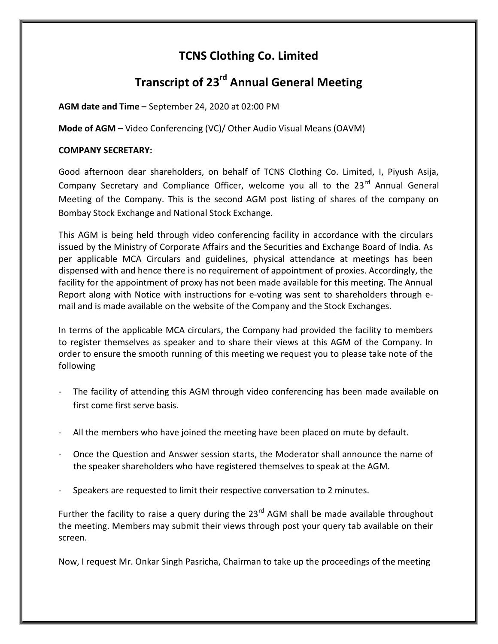## TCNS Clothing Co. Limited

# Transcript of 23<sup>rd</sup> Annual General Meeting

AGM date and Time – September 24, 2020 at 02:00 PM

Mode of AGM – Video Conferencing (VC)/ Other Audio Visual Means (OAVM)

## COMPANY SECRETARY:

Good afternoon dear shareholders, on behalf of TCNS Clothing Co. Limited, I, Piyush Asija, Company Secretary and Compliance Officer, welcome you all to the  $23<sup>rd</sup>$  Annual General Meeting of the Company. This is the second AGM post listing of shares of the company on Bombay Stock Exchange and National Stock Exchange.

This AGM is being held through video conferencing facility in accordance with the circulars issued by the Ministry of Corporate Affairs and the Securities and Exchange Board of India. As per applicable MCA Circulars and guidelines, physical attendance at meetings has been dispensed with and hence there is no requirement of appointment of proxies. Accordingly, the facility for the appointment of proxy has not been made available for this meeting. The Annual Report along with Notice with instructions for e-voting was sent to shareholders through email and is made available on the website of the Company and the Stock Exchanges.

In terms of the applicable MCA circulars, the Company had provided the facility to members to register themselves as speaker and to share their views at this AGM of the Company. In order to ensure the smooth running of this meeting we request you to please take note of the following

- The facility of attending this AGM through video conferencing has been made available on first come first serve basis.
- All the members who have joined the meeting have been placed on mute by default.
- Once the Question and Answer session starts, the Moderator shall announce the name of the speaker shareholders who have registered themselves to speak at the AGM.
- Speakers are requested to limit their respective conversation to 2 minutes.

Further the facility to raise a query during the 23<sup>rd</sup> AGM shall be made available throughout the meeting. Members may submit their views through post your query tab available on their screen.

Now, I request Mr. Onkar Singh Pasricha, Chairman to take up the proceedings of the meeting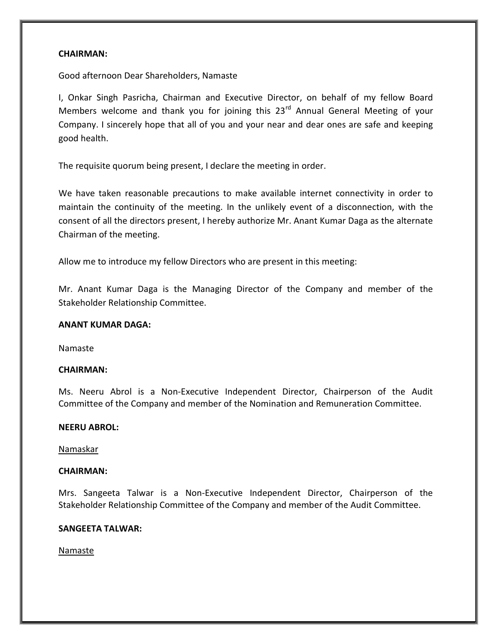#### CHAIRMAN:

Good afternoon Dear Shareholders, Namaste

I, Onkar Singh Pasricha, Chairman and Executive Director, on behalf of my fellow Board Members welcome and thank you for joining this  $23<sup>rd</sup>$  Annual General Meeting of your Company. I sincerely hope that all of you and your near and dear ones are safe and keeping good health.

The requisite quorum being present, I declare the meeting in order.

We have taken reasonable precautions to make available internet connectivity in order to maintain the continuity of the meeting. In the unlikely event of a disconnection, with the consent of all the directors present, I hereby authorize Mr. Anant Kumar Daga as the alternate Chairman of the meeting.

Allow me to introduce my fellow Directors who are present in this meeting:

Mr. Anant Kumar Daga is the Managing Director of the Company and member of the Stakeholder Relationship Committee.

#### ANANT KUMAR DAGA:

Namaste

#### CHAIRMAN:

Ms. Neeru Abrol is a Non-Executive Independent Director, Chairperson of the Audit Committee of the Company and member of the Nomination and Remuneration Committee.

#### NEERU ABROL:

#### Namaskar

#### CHAIRMAN:

Mrs. Sangeeta Talwar is a Non-Executive Independent Director, Chairperson of the Stakeholder Relationship Committee of the Company and member of the Audit Committee.

#### SANGEETA TALWAR:

#### Namaste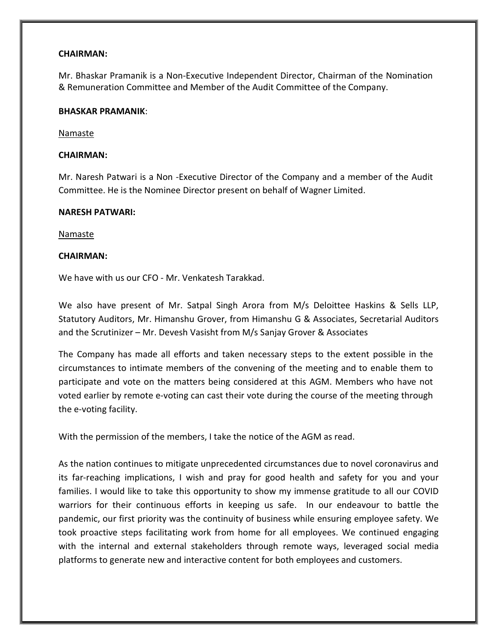#### CHAIRMAN:

Mr. Bhaskar Pramanik is a Non-Executive Independent Director, Chairman of the Nomination & Remuneration Committee and Member of the Audit Committee of the Company.

#### BHASKAR PRAMANIK:

#### Namaste

#### CHAIRMAN:

Mr. Naresh Patwari is a Non -Executive Director of the Company and a member of the Audit Committee. He is the Nominee Director present on behalf of Wagner Limited.

#### NARESH PATWARI:

Namaste

#### CHAIRMAN:

We have with us our CFO - Mr. Venkatesh Tarakkad.

We also have present of Mr. Satpal Singh Arora from M/s Deloittee Haskins & Sells LLP, Statutory Auditors, Mr. Himanshu Grover, from Himanshu G & Associates, Secretarial Auditors and the Scrutinizer – Mr. Devesh Vasisht from M/s Sanjay Grover & Associates

The Company has made all efforts and taken necessary steps to the extent possible in the circumstances to intimate members of the convening of the meeting and to enable them to participate and vote on the matters being considered at this AGM. Members who have not voted earlier by remote e-voting can cast their vote during the course of the meeting through the e-voting facility.

With the permission of the members, I take the notice of the AGM as read.

As the nation continues to mitigate unprecedented circumstances due to novel coronavirus and its far-reaching implications, I wish and pray for good health and safety for you and your families. I would like to take this opportunity to show my immense gratitude to all our COVID warriors for their continuous efforts in keeping us safe. In our endeavour to battle the pandemic, our first priority was the continuity of business while ensuring employee safety. We took proactive steps facilitating work from home for all employees. We continued engaging with the internal and external stakeholders through remote ways, leveraged social media platforms to generate new and interactive content for both employees and customers.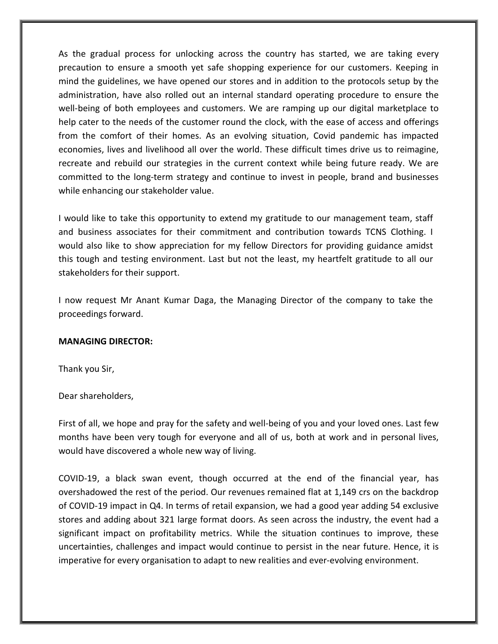As the gradual process for unlocking across the country has started, we are taking every precaution to ensure a smooth yet safe shopping experience for our customers. Keeping in mind the guidelines, we have opened our stores and in addition to the protocols setup by the administration, have also rolled out an internal standard operating procedure to ensure the well-being of both employees and customers. We are ramping up our digital marketplace to help cater to the needs of the customer round the clock, with the ease of access and offerings from the comfort of their homes. As an evolving situation, Covid pandemic has impacted economies, lives and livelihood all over the world. These difficult times drive us to reimagine, recreate and rebuild our strategies in the current context while being future ready. We are committed to the long-term strategy and continue to invest in people, brand and businesses while enhancing our stakeholder value.

I would like to take this opportunity to extend my gratitude to our management team, staff and business associates for their commitment and contribution towards TCNS Clothing. I would also like to show appreciation for my fellow Directors for providing guidance amidst this tough and testing environment. Last but not the least, my heartfelt gratitude to all our stakeholders for their support.

I now request Mr Anant Kumar Daga, the Managing Director of the company to take the proceedings forward.

#### MANAGING DIRECTOR:

Thank you Sir,

Dear shareholders,

First of all, we hope and pray for the safety and well-being of you and your loved ones. Last few months have been very tough for everyone and all of us, both at work and in personal lives, would have discovered a whole new way of living.

COVID-19, a black swan event, though occurred at the end of the financial year, has overshadowed the rest of the period. Our revenues remained flat at 1,149 crs on the backdrop of COVID-19 impact in Q4. In terms of retail expansion, we had a good year adding 54 exclusive stores and adding about 321 large format doors. As seen across the industry, the event had a significant impact on profitability metrics. While the situation continues to improve, these uncertainties, challenges and impact would continue to persist in the near future. Hence, it is imperative for every organisation to adapt to new realities and ever-evolving environment.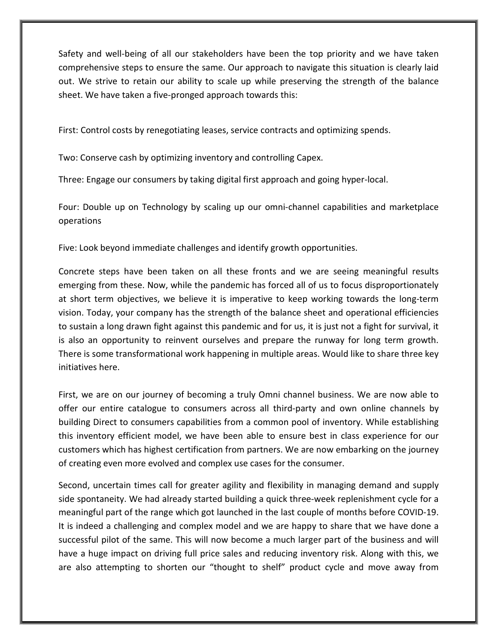Safety and well-being of all our stakeholders have been the top priority and we have taken comprehensive steps to ensure the same. Our approach to navigate this situation is clearly laid out. We strive to retain our ability to scale up while preserving the strength of the balance sheet. We have taken a five-pronged approach towards this:

First: Control costs by renegotiating leases, service contracts and optimizing spends.

Two: Conserve cash by optimizing inventory and controlling Capex.

Three: Engage our consumers by taking digital first approach and going hyper-local.

Four: Double up on Technology by scaling up our omni-channel capabilities and marketplace operations

Five: Look beyond immediate challenges and identify growth opportunities.

Concrete steps have been taken on all these fronts and we are seeing meaningful results emerging from these. Now, while the pandemic has forced all of us to focus disproportionately at short term objectives, we believe it is imperative to keep working towards the long-term vision. Today, your company has the strength of the balance sheet and operational efficiencies to sustain a long drawn fight against this pandemic and for us, it is just not a fight for survival, it is also an opportunity to reinvent ourselves and prepare the runway for long term growth. There is some transformational work happening in multiple areas. Would like to share three key initiatives here.

First, we are on our journey of becoming a truly Omni channel business. We are now able to offer our entire catalogue to consumers across all third-party and own online channels by building Direct to consumers capabilities from a common pool of inventory. While establishing this inventory efficient model, we have been able to ensure best in class experience for our customers which has highest certification from partners. We are now embarking on the journey of creating even more evolved and complex use cases for the consumer.

Second, uncertain times call for greater agility and flexibility in managing demand and supply side spontaneity. We had already started building a quick three-week replenishment cycle for a meaningful part of the range which got launched in the last couple of months before COVID-19. It is indeed a challenging and complex model and we are happy to share that we have done a successful pilot of the same. This will now become a much larger part of the business and will have a huge impact on driving full price sales and reducing inventory risk. Along with this, we are also attempting to shorten our "thought to shelf" product cycle and move away from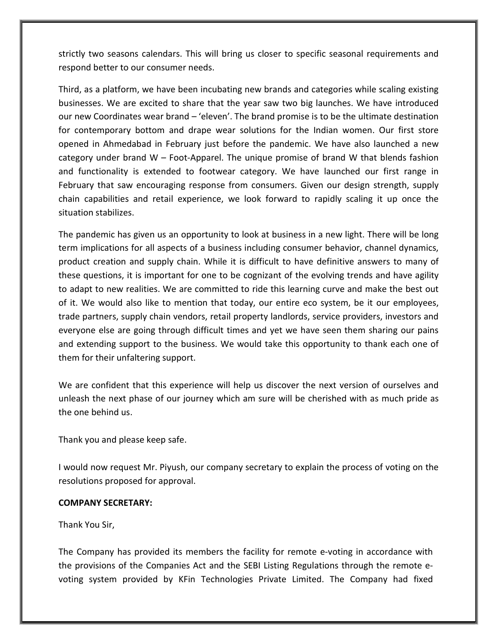strictly two seasons calendars. This will bring us closer to specific seasonal requirements and respond better to our consumer needs.

Third, as a platform, we have been incubating new brands and categories while scaling existing businesses. We are excited to share that the year saw two big launches. We have introduced our new Coordinates wear brand – 'eleven'. The brand promise is to be the ultimate destination for contemporary bottom and drape wear solutions for the Indian women. Our first store opened in Ahmedabad in February just before the pandemic. We have also launched a new category under brand  $W$  – Foot-Apparel. The unique promise of brand W that blends fashion and functionality is extended to footwear category. We have launched our first range in February that saw encouraging response from consumers. Given our design strength, supply chain capabilities and retail experience, we look forward to rapidly scaling it up once the situation stabilizes.

The pandemic has given us an opportunity to look at business in a new light. There will be long term implications for all aspects of a business including consumer behavior, channel dynamics, product creation and supply chain. While it is difficult to have definitive answers to many of these questions, it is important for one to be cognizant of the evolving trends and have agility to adapt to new realities. We are committed to ride this learning curve and make the best out of it. We would also like to mention that today, our entire eco system, be it our employees, trade partners, supply chain vendors, retail property landlords, service providers, investors and everyone else are going through difficult times and yet we have seen them sharing our pains and extending support to the business. We would take this opportunity to thank each one of them for their unfaltering support.

We are confident that this experience will help us discover the next version of ourselves and unleash the next phase of our journey which am sure will be cherished with as much pride as the one behind us.

Thank you and please keep safe.

I would now request Mr. Piyush, our company secretary to explain the process of voting on the resolutions proposed for approval.

#### COMPANY SECRETARY:

Thank You Sir,

The Company has provided its members the facility for remote e-voting in accordance with the provisions of the Companies Act and the SEBI Listing Regulations through the remote evoting system provided by KFin Technologies Private Limited. The Company had fixed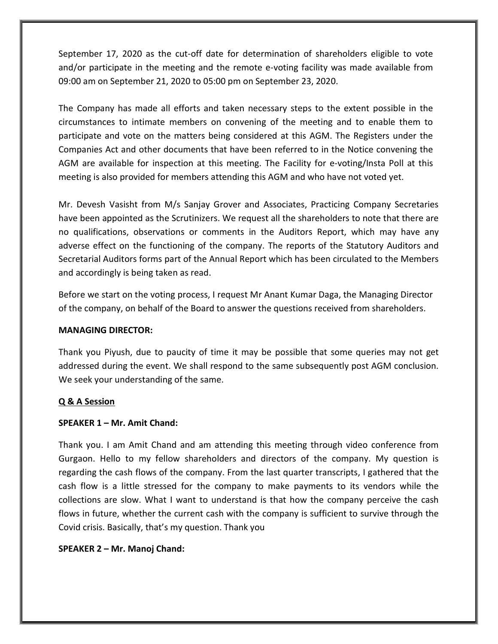September 17, 2020 as the cut-off date for determination of shareholders eligible to vote and/or participate in the meeting and the remote e-voting facility was made available from 09:00 am on September 21, 2020 to 05:00 pm on September 23, 2020.

The Company has made all efforts and taken necessary steps to the extent possible in the circumstances to intimate members on convening of the meeting and to enable them to participate and vote on the matters being considered at this AGM. The Registers under the Companies Act and other documents that have been referred to in the Notice convening the AGM are available for inspection at this meeting. The Facility for e-voting/Insta Poll at this meeting is also provided for members attending this AGM and who have not voted yet.

Mr. Devesh Vasisht from M/s Sanjay Grover and Associates, Practicing Company Secretaries have been appointed as the Scrutinizers. We request all the shareholders to note that there are no qualifications, observations or comments in the Auditors Report, which may have any adverse effect on the functioning of the company. The reports of the Statutory Auditors and Secretarial Auditors forms part of the Annual Report which has been circulated to the Members and accordingly is being taken as read.

Before we start on the voting process, I request Mr Anant Kumar Daga, the Managing Director of the company, on behalf of the Board to answer the questions received from shareholders.

## MANAGING DIRECTOR:

Thank you Piyush, due to paucity of time it may be possible that some queries may not get addressed during the event. We shall respond to the same subsequently post AGM conclusion. We seek your understanding of the same.

## Q & A Session

## SPEAKER 1 – Mr. Amit Chand:

Thank you. I am Amit Chand and am attending this meeting through video conference from Gurgaon. Hello to my fellow shareholders and directors of the company. My question is regarding the cash flows of the company. From the last quarter transcripts, I gathered that the cash flow is a little stressed for the company to make payments to its vendors while the collections are slow. What I want to understand is that how the company perceive the cash flows in future, whether the current cash with the company is sufficient to survive through the Covid crisis. Basically, that's my question. Thank you

## SPEAKER 2 – Mr. Manoj Chand: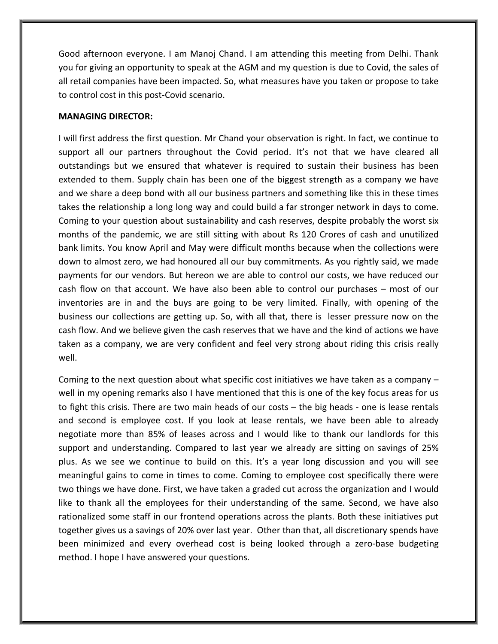Good afternoon everyone. I am Manoj Chand. I am attending this meeting from Delhi. Thank you for giving an opportunity to speak at the AGM and my question is due to Covid, the sales of all retail companies have been impacted. So, what measures have you taken or propose to take to control cost in this post-Covid scenario.

#### MANAGING DIRECTOR:

I will first address the first question. Mr Chand your observation is right. In fact, we continue to support all our partners throughout the Covid period. It's not that we have cleared all outstandings but we ensured that whatever is required to sustain their business has been extended to them. Supply chain has been one of the biggest strength as a company we have and we share a deep bond with all our business partners and something like this in these times takes the relationship a long long way and could build a far stronger network in days to come. Coming to your question about sustainability and cash reserves, despite probably the worst six months of the pandemic, we are still sitting with about Rs 120 Crores of cash and unutilized bank limits. You know April and May were difficult months because when the collections were down to almost zero, we had honoured all our buy commitments. As you rightly said, we made payments for our vendors. But hereon we are able to control our costs, we have reduced our cash flow on that account. We have also been able to control our purchases – most of our inventories are in and the buys are going to be very limited. Finally, with opening of the business our collections are getting up. So, with all that, there is lesser pressure now on the cash flow. And we believe given the cash reserves that we have and the kind of actions we have taken as a company, we are very confident and feel very strong about riding this crisis really well.

Coming to the next question about what specific cost initiatives we have taken as a company – well in my opening remarks also I have mentioned that this is one of the key focus areas for us to fight this crisis. There are two main heads of our costs – the big heads - one is lease rentals and second is employee cost. If you look at lease rentals, we have been able to already negotiate more than 85% of leases across and I would like to thank our landlords for this support and understanding. Compared to last year we already are sitting on savings of 25% plus. As we see we continue to build on this. It's a year long discussion and you will see meaningful gains to come in times to come. Coming to employee cost specifically there were two things we have done. First, we have taken a graded cut across the organization and I would like to thank all the employees for their understanding of the same. Second, we have also rationalized some staff in our frontend operations across the plants. Both these initiatives put together gives us a savings of 20% over last year. Other than that, all discretionary spends have been minimized and every overhead cost is being looked through a zero-base budgeting method. I hope I have answered your questions.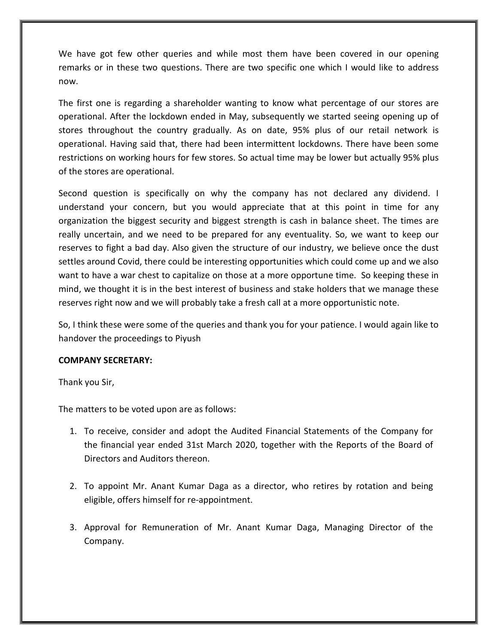We have got few other queries and while most them have been covered in our opening remarks or in these two questions. There are two specific one which I would like to address now.

The first one is regarding a shareholder wanting to know what percentage of our stores are operational. After the lockdown ended in May, subsequently we started seeing opening up of stores throughout the country gradually. As on date, 95% plus of our retail network is operational. Having said that, there had been intermittent lockdowns. There have been some restrictions on working hours for few stores. So actual time may be lower but actually 95% plus of the stores are operational.

Second question is specifically on why the company has not declared any dividend. I understand your concern, but you would appreciate that at this point in time for any organization the biggest security and biggest strength is cash in balance sheet. The times are really uncertain, and we need to be prepared for any eventuality. So, we want to keep our reserves to fight a bad day. Also given the structure of our industry, we believe once the dust settles around Covid, there could be interesting opportunities which could come up and we also want to have a war chest to capitalize on those at a more opportune time. So keeping these in mind, we thought it is in the best interest of business and stake holders that we manage these reserves right now and we will probably take a fresh call at a more opportunistic note.

So, I think these were some of the queries and thank you for your patience. I would again like to handover the proceedings to Piyush

## COMPANY SECRETARY:

Thank you Sir,

The matters to be voted upon are as follows:

- 1. To receive, consider and adopt the Audited Financial Statements of the Company for the financial year ended 31st March 2020, together with the Reports of the Board of Directors and Auditors thereon.
- 2. To appoint Mr. Anant Kumar Daga as a director, who retires by rotation and being eligible, offers himself for re-appointment.
- 3. Approval for Remuneration of Mr. Anant Kumar Daga, Managing Director of the Company.